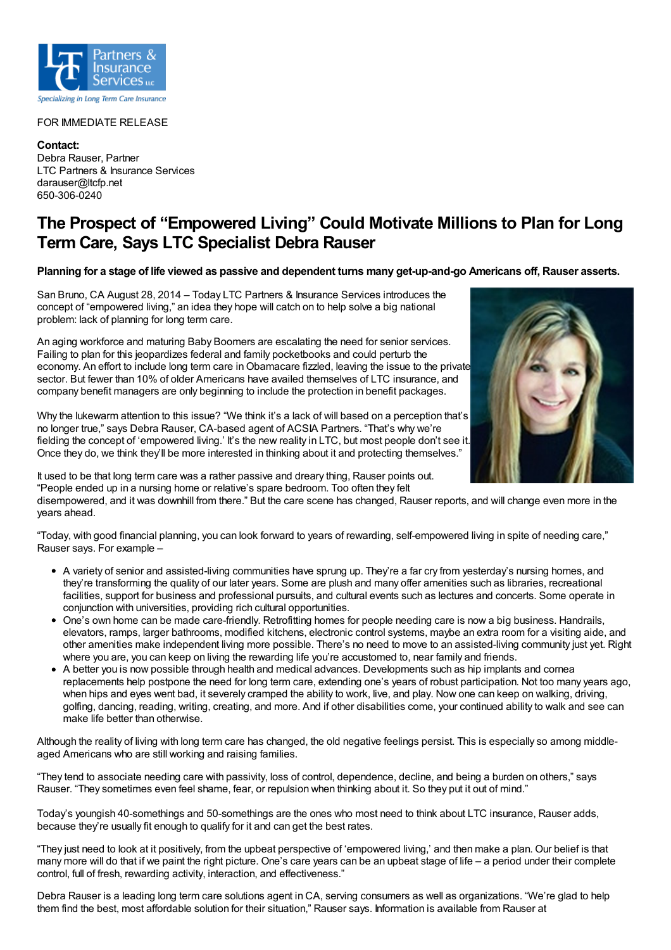

## FOR IMMEDIATE RELEASE

**Contact:** Debra Rauser, Partner LTC Partners & Insurance Services darauser@ltcfp.net 650-306-0240

## **The Prospect of "Empowered Living" Could Motivate Millions to Plan for Long Term Care, Says LTC Specialist Debra Rauser**

Planning for a stage of life viewed as passive and dependent turns many get-up-and-go Americans off, Rauser asserts.

San Bruno, CA August 28, 2014 – Today LTC Partners & Insurance Services introduces the concept of "empowered living," an idea they hope will catch on to help solve a big national problem: lack of planning for long term care.

An aging workforce and maturing Baby Boomers are escalating the need for senior services. Failing to plan for this jeopardizes federal and family pocketbooks and could perturb the economy. An effort to include long term care in Obamacare fizzled, leaving the issue to the private sector. But fewer than 10% of older Americans have availed themselves of LTC insurance, and company benefit managers are only beginning to include the protection in benefit packages.

Why the lukewarm attention to this issue? "We think it's a lack of will based on a perception that's no longer true," says Debra Rauser, CA-based agent of ACSIA Partners. "That's why we're fielding the concept of 'empowered living.' It's the new reality in LTC, but most people don't see it. Once they do, we think they'll be more interested in thinking about it and protecting themselves."



It used to be that long term care was a rather passive and dreary thing, Rauser points out. "People ended up in a nursing home or relative's spare bedroom. Too often they felt

disempowered, and it was downhill from there." But the care scene has changed, Rauser reports, and will change even more in the years ahead.

"Today, with good financial planning, you can look forward to years of rewarding, self-empowered living in spite of needing care," Rauser says. For example –

- A variety of senior and assisted-living communities have sprung up. They're a far cry from yesterday's nursing homes, and they're transforming the quality of our later years. Some are plush and many offer amenities such as libraries, recreational facilities, support for business and professional pursuits, and cultural events such as lectures and concerts. Some operate in conjunction with universities, providing rich cultural opportunities.
- One's own home can be made care-friendly. Retrofitting homes for people needing care is now a big business. Handrails, elevators, ramps, larger bathrooms, modified kitchens, electronic control systems, maybe an extra room for a visiting aide, and other amenities make independent living more possible. There's no need to move to an assisted-living community just yet. Right where you are, you can keep on living the rewarding life you're accustomed to, near family and friends.
- A better you is now possible through health and medical advances. Developments such as hip implants and cornea replacements help postpone the need for long term care, extending one's years of robust participation. Not too many years ago, when hips and eyes went bad, it severely cramped the ability to work, live, and play. Now one can keep on walking, driving, golfing, dancing, reading, writing, creating, and more. And if other disabilities come, your continued ability to walk and see can make life better than otherwise.

Although the reality of living with long term care has changed, the old negative feelings persist. This is especially so among middleaged Americans who are still working and raising families.

"They tend to associate needing care with passivity, loss of control, dependence, decline, and being a burden on others," says Rauser. "They sometimes even feel shame, fear, or repulsion when thinking about it. So they put it out of mind."

Today's youngish 40-somethings and 50-somethings are the ones who most need to think about LTC insurance, Rauser adds, because they're usually fit enough to qualify for it and can get the best rates.

"They just need to look at it positively, from the upbeat perspective of 'empowered living,' and then make a plan. Our belief is that many more will do that if we paint the right picture. One's care years can be an upbeat stage of life – a period under their complete control, full of fresh, rewarding activity, interaction, and effectiveness."

Debra Rauser is a leading long term care solutions agent in CA, serving consumers as well as organizations. "We're glad to help them find the best, most affordable solution for their situation," Rauser says. Information is available from Rauser at